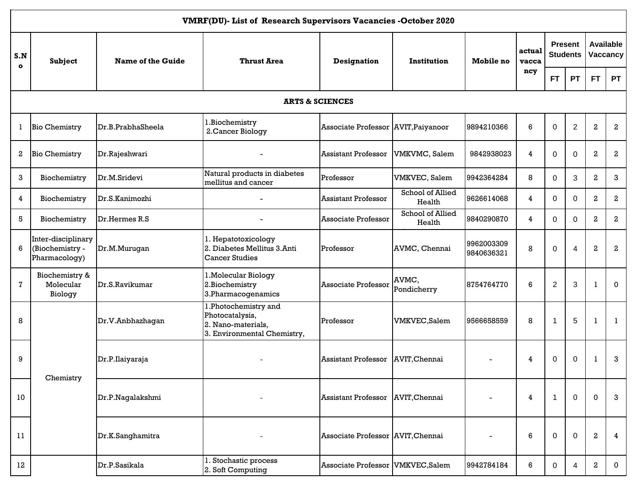|                  | VMRF(DU)- List of Research Supervisors Vacancies - October 2020 |                   |                                                                                              |                                     |                            |                          |                 |                |                                   |              |                                     |  |  |
|------------------|-----------------------------------------------------------------|-------------------|----------------------------------------------------------------------------------------------|-------------------------------------|----------------------------|--------------------------|-----------------|----------------|-----------------------------------|--------------|-------------------------------------|--|--|
| S.N<br>$\bullet$ | <b>Subject</b>                                                  | Name of the Guide | <b>Thrust Area</b>                                                                           | <b>Designation</b>                  | <b>Institution</b>         | Mobile no                | actual<br>vacca |                | <b>Present</b><br><b>Students</b> |              | <b>Available</b><br><b>Vaccancy</b> |  |  |
|                  |                                                                 |                   |                                                                                              |                                     |                            |                          | ncy             | FT.            | <b>PT</b>                         | <b>FT</b>    | <b>PT</b>                           |  |  |
|                  |                                                                 |                   |                                                                                              | <b>ARTS &amp; SCIENCES</b>          |                            |                          |                 |                |                                   |              |                                     |  |  |
| 1                | <b>Bio Chemistry</b>                                            | Dr.B.PrabhaSheela | 1.Biochemistry<br>2. Cancer Biology                                                          | Associate Professor AVIT, Paiyanoor |                            | 9894210366               | 6               | 0              | $\overline{c}$                    | 2            | $\boldsymbol{2}$                    |  |  |
| 2                | <b>Bio Chemistry</b>                                            | Dr.Rajeshwari     |                                                                                              | <b>Assistant Professor</b>          | VMKVMC, Salem              | 9842938023               | $\overline{4}$  | 0              | $\mathbf 0$                       | 2            | $\,2\,$                             |  |  |
| 3                | Biochemistry                                                    | Dr.M.Sridevi      | Natural products in diabetes<br>mellitus and cancer                                          | Professor                           | VMKVEC, Salem              | 9942364284               | 8               | $\Omega$       | 3                                 | 2            | 3                                   |  |  |
| 4                | Biochemistry                                                    | Dr.S.Kanimozhi    |                                                                                              | <b>Assistant Professor</b>          | School of Allied<br>Health | 9626614068               | $\overline{4}$  | $\Omega$       | 0                                 | 2            | 2                                   |  |  |
| 5                | Biochemistry                                                    | Dr.Hermes R.S     |                                                                                              | Associate Professor                 | School of Allied<br>Health | 9840290870               | $\overline{4}$  | $\Omega$       | 0                                 | 2            | $\mathbf{2}$                        |  |  |
| 6                | Inter-disciplinary<br>(Biochemistry -<br>Pharmacology)          | Dr.M.Murugan      | 1. Hepatotoxicology<br>2. Diabetes Mellitus 3.Anti<br><b>Cancer Studies</b>                  | Professor                           | AVMC, Chennai              | 9962003309<br>9840636321 | 8               | $\Omega$       | 4                                 | 2            | $\mathbf{2}$                        |  |  |
| 7                | Biochemistry &<br>Molecular<br>Biology                          | Dr.S.Ravikumar    | 1. Molecular Biology<br>2. Biochemistry<br>3. Pharmacogenamics                               | <b>Associate Professor</b>          | AVMC,<br>Pondicherry       | 8754764770               | 6               | $\overline{2}$ | 3                                 |              | $\mathbf{0}$                        |  |  |
| 8                |                                                                 | Dr.V.Anbhazhagan  | 1.Photochemistry and<br>Photocatalysis,<br>2. Nano-materials,<br>3. Environmental Chemistry, | Professor                           | VMKVEC, Salem              | 9566658559               | 8               | 1              | 5                                 | $\mathbf{1}$ | -1                                  |  |  |
| 9                |                                                                 | Dr.P.Ilaiyaraja   |                                                                                              | <b>Assistant Professor</b>          | AVIT, Chennai              |                          | 4               | 0              | 0                                 |              | 3                                   |  |  |
| 10               | Chemistry                                                       | Dr.P.Nagalakshmi  |                                                                                              | <b>Assistant Professor</b>          | AVIT, Chennai              |                          | 4               | 1              | $\mathbf 0$                       | $\mathbf{0}$ | 3                                   |  |  |
| 11               |                                                                 | Dr.K.Sanghamitra  |                                                                                              | Associate Professor AVIT, Chennai   |                            |                          | 6               | 0              | 0                                 | 2            | $\overline{4}$                      |  |  |
| 12               |                                                                 | Dr.P.Sasikala     | 1. Stochastic process<br>2. Soft Computing                                                   | Associate Professor VMKVEC, Salem   |                            | 9942784184               | 6               | 0              | 4                                 | 2            | $\mathbf 0$                         |  |  |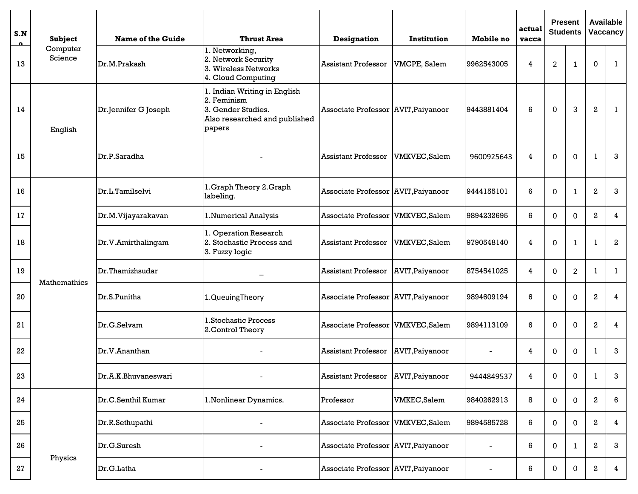| S.N | <b>Subject</b>      | <b>Name of the Guide</b> | <b>Thrust Area</b>                                                                                           | <b>Designation</b>                  | Institution         | Mobile no       | actual<br>vacca | <b>Present</b><br><b>Students</b> |                |                  | <b>Available</b><br>Vaccancy |
|-----|---------------------|--------------------------|--------------------------------------------------------------------------------------------------------------|-------------------------------------|---------------------|-----------------|-----------------|-----------------------------------|----------------|------------------|------------------------------|
| 13  | Computer<br>Science | Dr.M.Prakash             | 1. Networking,<br>2. Network Security<br>3. Wireless Networks<br>4. Cloud Computing                          | <b>Assistant Professor</b>          | VMCPE, Salem        | 9962543005      | 4               | $\overline{c}$                    | $\overline{1}$ | $\Omega$         | 1                            |
| 14  | English             | Dr.Jennifer G Joseph     | 1. Indian Writing in English<br>2. Feminism<br>3. Gender Studies.<br>Also researched and published<br>papers | Associate Professor AVIT, Paiyanoor |                     | 9443881404      | 6               | 0                                 | 3              | $\,2$            | 1                            |
| 15  |                     | Dr.P.Saradha             |                                                                                                              | <b>Assistant Professor</b>          | <b>VMKVEC,Salem</b> | 9600925643      | 4               | 0                                 | $\mathbf 0$    | -1               | 3                            |
| 16  |                     | Dr.L.Tamilselvi          | 1. Graph Theory 2. Graph<br>labeling.                                                                        | Associate Professor AVIT, Paiyanoor |                     | 9444155101      | 6               | $\Omega$                          |                | $\,2$            | 3                            |
| 17  |                     | Dr.M.Vijayarakavan       | 1.Numerical Analysis                                                                                         | Associate Professor                 | VMKVEC, Salem       | 9894232695      | 6               | $\Omega$                          | 0              | $\mathbf{2}$     | 4                            |
| 18  |                     | Dr.V.Amirthalingam       | 1. Operation Research<br>2. Stochastic Process and<br>3. Fuzzy logic                                         | <b>Assistant Professor</b>          | VMKVEC, Salem       | 9790548140      | 4               | 0                                 | $\overline{1}$ | -1               | $\mathbf{2}$                 |
| 19  |                     | Dr.Thamizhsudar          |                                                                                                              | <b>Assistant Professor</b>          | AVIT, Paiyanoor     | 8754541025      | 4               | $\Omega$                          | $\overline{2}$ | 1                | $\mathbf{1}$                 |
| 20  | Mathemathics        | Dr.S.Punitha             | 1.QueuingTheory                                                                                              | Associate Professor AVIT, Paiyanoor |                     | 9894609194      | 6               | $\Omega$                          | $\Omega$       | $\mathbf{2}$     | 4                            |
| 21  |                     | Dr.G.Selvam              | 1.Stochastic Process<br>2. Control Theory                                                                    | <b>Associate Professor</b>          | VMKVEC, Salem       | 9894113109      | 6               | $\Omega$                          | $\Omega$       | $\mathbf{2}$     | 4                            |
| 22  |                     | Dr.V.Ananthan            |                                                                                                              | <b>Assistant Professor</b>          | AVIT, Paiyanoor     |                 | 4               | $\Omega$                          | $\mathbf 0$    |                  | 3                            |
| 23  |                     | Dr.A.K.Bhuvaneswari      |                                                                                                              | <b>Assistant Professor</b>          | AVIT, Paiyanoor     | 9444849537      | 4               | $\mathbf 0$                       | $\pmb{0}$      |                  | 3                            |
| 24  |                     | Dr.C.Senthil Kumar       | 1. Nonlinear Dynamics.                                                                                       | Professor                           | <b>VMKEC,Salem</b>  | 9840262913      | 8               | 0                                 | 0              | 2                | 6                            |
| 25  |                     | Dr.R.Sethupathi          |                                                                                                              | Associate Professor                 | VMKVEC, Salem       | 9894585728      | 6               | 0                                 | 0              | 2                | $\overline{4}$               |
| 26  |                     | Dr.G.Suresh              |                                                                                                              | Associate Professor AVIT, Paiyanoor |                     | $\qquad \qquad$ | 6               | 0                                 | $\mathbf{1}$   | 2                | $\mathbf{3}$                 |
| 27  | Physics             | Dr.G.Latha               |                                                                                                              | Associate Professor AVIT, Paiyanoor |                     | $\blacksquare$  | 6               | 0                                 | 0              | $\boldsymbol{2}$ | 4                            |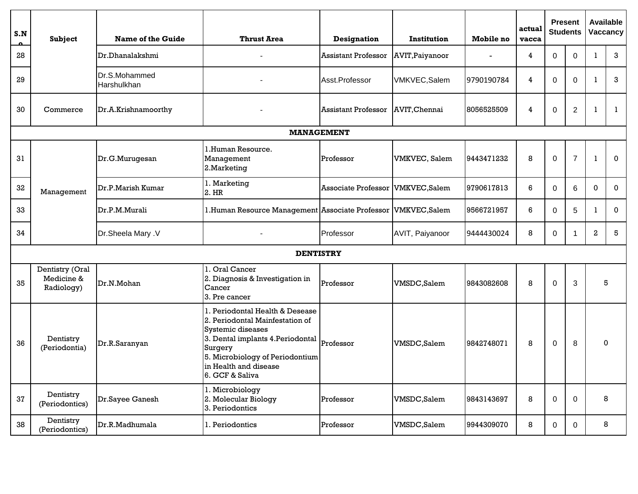| S.N | <b>Subject</b>                              | <b>Name of the Guide</b>     | <b>Thrust Area</b>                                                                                                                                                                                                     | <b>Designation</b>         | Institution         | <b>Mobile no</b> | actual<br>vacca | <b>Present</b><br><b>Students</b><br>0<br>$\Omega$ |                |                  | Available<br>Vaccancy |
|-----|---------------------------------------------|------------------------------|------------------------------------------------------------------------------------------------------------------------------------------------------------------------------------------------------------------------|----------------------------|---------------------|------------------|-----------------|----------------------------------------------------|----------------|------------------|-----------------------|
| 28  |                                             | Dr.Dhanalakshmi              |                                                                                                                                                                                                                        | <b>Assistant Professor</b> | AVIT, Paiyanoor     |                  | 4               |                                                    |                |                  | 3                     |
| 29  |                                             | Dr.S.Mohammed<br>Harshulkhan |                                                                                                                                                                                                                        | Asst.Professor             | <b>VMKVEC,Salem</b> | 9790190784       | 4               | 0                                                  | $\Omega$       | $\mathbf{I}$     | 3                     |
| 30  | Commerce                                    | Dr.A.Krishnamoorthy          |                                                                                                                                                                                                                        | <b>Assistant Professor</b> | AVIT, Chennai       | 8056525509       | 4               | 0                                                  | $\overline{c}$ | J                | 1                     |
|     |                                             |                              |                                                                                                                                                                                                                        | <b>MANAGEMENT</b>          |                     |                  |                 |                                                    |                |                  |                       |
| 31  |                                             | Dr.G.Murugesan               | 1.Human Resource.<br>Management<br>2. Marketing                                                                                                                                                                        | Professor                  | VMKVEC, Salem       | 9443471232       | 8               | 0                                                  | $\overline{7}$ | -1               | $\mathbf{0}$          |
| 32  | Management                                  | Dr.P.Marish Kumar            | 1. Marketing<br>2. HR                                                                                                                                                                                                  | <b>Associate Professor</b> | <b>VMKVEC,Salem</b> | 9790617813       | 6               | 0                                                  | 6              | $\mathbf 0$      | 0                     |
| 33  |                                             | Dr.P.M.Murali                | 1. Human Resource Management Associate Professor VMKVEC, Salem                                                                                                                                                         |                            |                     | 9566721957       | 6               | 0                                                  | 5              | -1               | 0                     |
| 34  |                                             | Dr.Sheela Mary .V            |                                                                                                                                                                                                                        | Professor                  | AVIT, Paiyanoor     | 9444430024       | 8               | 0                                                  | 1              | $\boldsymbol{2}$ | 5                     |
|     |                                             |                              | <b>DENTISTRY</b>                                                                                                                                                                                                       |                            |                     |                  |                 |                                                    |                |                  |                       |
| 35  | Dentistry (Oral<br>Medicine &<br>Radiology) | Dr.N.Mohan                   | 1. Oral Cancer<br>2. Diagnosis & Investigation in<br>Cancer<br>3. Pre cancer                                                                                                                                           | Professor                  | VMSDC, Salem        | 9843082608       | 8               | 0                                                  | 3              |                  | 5                     |
| 36  | Dentistry<br>(Periodontia)                  | Dr.R.Saranyan                | 1. Periodontal Health & Desease<br>2. Periodontal Mainfestation of<br>Systemic diseases<br>3. Dental implants 4. Periodontal<br>Surgery<br>5. Microbiology of Periodontium<br>in Health and disease<br>6. GCF & Saliva | Professor                  | VMSDC, Salem        | 9842748071       | 8               | $\pmb{0}$                                          | 8              |                  | $\Omega$              |
| 37  | Dentistry<br>(Periodontics)                 | Dr.Sayee Ganesh              | 1. Microbiology<br>2. Molecular Biology<br>3. Periodontics                                                                                                                                                             | Professor                  | VMSDC, Salem        | 9843143697       | 8               | $\mathbf 0$                                        | $\mathbf 0$    |                  | 8                     |
| 38  | Dentistry<br>(Periodontics)                 | Dr.R.Madhumala               | 1. Periodontics                                                                                                                                                                                                        | Professor                  | VMSDC,Salem         | 9944309070       | 8               | $\mathbf 0$                                        | 0              |                  | 8                     |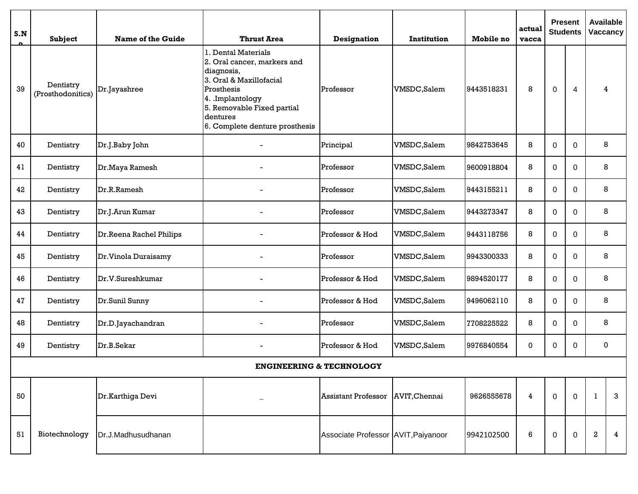| S.N | Subject                        | <b>Name of the Guide</b> | <b>Thrust Area</b>                                                                                                                                                                                       | <b>Designation</b>                  | Institution  | Mobile no  | actual<br>vacca |                  | <b>Present</b><br><b>Students</b> | <b>Available</b><br><b>Vaccancy</b> |                |
|-----|--------------------------------|--------------------------|----------------------------------------------------------------------------------------------------------------------------------------------------------------------------------------------------------|-------------------------------------|--------------|------------|-----------------|------------------|-----------------------------------|-------------------------------------|----------------|
| 39  | Dentistry<br>(Prosthodonitics) | Dr.Jayashree             | 1. Dental Materials<br>2. Oral cancer, markers and<br>diagnosis,<br>3. Oral & Maxillofacial<br>Prosthesis<br>4. Implantology<br>5. Removable Fixed partial<br>dentures<br>6. Complete denture prosthesis | Professor                           | VMSDC, Salem | 9443518231 | 8               | 0                | 4                                 | 4                                   |                |
| 40  | Dentistry                      | Dr.J.Baby John           |                                                                                                                                                                                                          | Principal                           | VMSDC, Salem | 9842753645 | 8               | 0                | $\mathbf 0$                       | 8                                   |                |
| 41  | Dentistry                      | Dr. Maya Ramesh          |                                                                                                                                                                                                          | Professor                           | VMSDC, Salem | 9600918804 | 8               | 0                | $\mathbf 0$                       | 8                                   |                |
| 42  | Dentistry                      | Dr.R.Ramesh              |                                                                                                                                                                                                          | Professor                           | VMSDC,Salem  | 9443155211 | 8               | 0                | $\Omega$                          | 8                                   |                |
| 43  | Dentistry                      | Dr.J.Arun Kumar          |                                                                                                                                                                                                          | Professor                           | VMSDC, Salem | 9443273347 | 8               | 0                | $\mathbf 0$                       | 8                                   |                |
| 44  | Dentistry                      | Dr.Reena Rachel Philips  |                                                                                                                                                                                                          | Professor & Hod                     | VMSDC, Salem | 9443118756 | 8               | 0<br>$\mathbf 0$ |                                   | 8                                   |                |
| 45  | Dentistry                      | Dr. Vinola Duraisamy     |                                                                                                                                                                                                          | Professor                           | VMSDC, Salem | 9943300333 | 8               | 0                | $\Omega$                          | 8                                   |                |
| 46  | Dentistry                      | Dr.V.Sureshkumar         |                                                                                                                                                                                                          | Professor & Hod                     | VMSDC, Salem | 9894520177 | 8               | 0                | $\mathbf 0$                       | 8                                   |                |
| 47  | Dentistry                      | Dr.Sunil Sunny           |                                                                                                                                                                                                          | Professor & Hod                     | VMSDC,Salem  | 9496062110 | 8               | 0                | 0                                 | 8                                   |                |
| 48  | Dentistry                      | Dr.D.Jayachandran        |                                                                                                                                                                                                          | Professor                           | VMSDC,Salem  | 7708225522 | 8               | 0                | $\mathbf 0$                       | 8                                   |                |
| 49  | Dentistry                      | Dr.B.Sekar               |                                                                                                                                                                                                          | Professor & Hod                     | VMSDC, Salem | 9976840554 | 0               | 0                | $\mathbf 0$                       | 0                                   |                |
|     |                                |                          | <b>ENGINEERING &amp; TECHNOLOGY</b>                                                                                                                                                                      |                                     |              |            |                 |                  |                                   |                                     |                |
| 50  |                                | Dr.Karthiga Devi         |                                                                                                                                                                                                          | Assistant Professor   AVIT, Chennai |              | 9626555678 | 4               | 0                | $\Omega$                          | -1                                  | 3              |
| 51  | Biotechnology                  | Dr.J.Madhusudhanan       |                                                                                                                                                                                                          | Associate Professor AVIT, Paiyanoor |              | 9942102500 | 6               | $\mathbf 0$      | $\mathbf 0$                       | $\boldsymbol{2}$                    | $\overline{4}$ |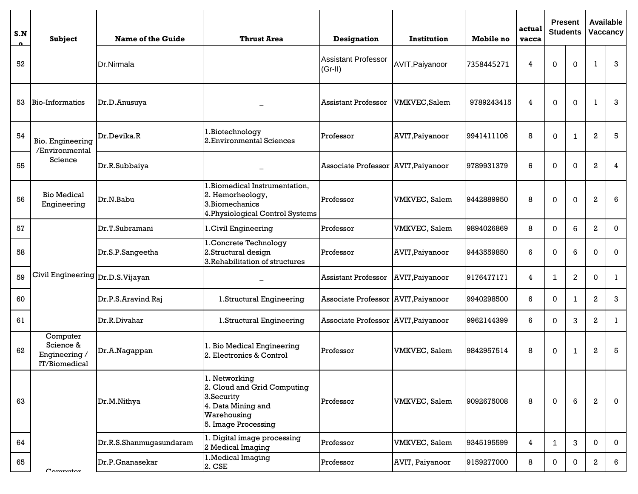| S.N | <b>Subject</b>                                          | <b>Name of the Guide</b> | <b>Thrust Area</b>                                                                                                     | <b>Designation</b>                      | Institution           | <b>Mobile</b> no | actual<br>vacca |   | <b>Present</b><br><b>Students</b> |                  | Available<br>Vaccancy |
|-----|---------------------------------------------------------|--------------------------|------------------------------------------------------------------------------------------------------------------------|-----------------------------------------|-----------------------|------------------|-----------------|---|-----------------------------------|------------------|-----------------------|
| 52  |                                                         | Dr.Nirmala               |                                                                                                                        | <b>Assistant Professor</b><br>$(Gr-II)$ | AVIT, Paiyanoor       | 7358445271       | 4               | 0 | $\Omega$                          |                  | 3                     |
| 53  | Bio-Informatics                                         | Dr.D.Anusuya             |                                                                                                                        | <b>Assistant Professor</b>              | <b>VMKVEC, Salem</b>  | 9789243415       | 4               | 0 | $\Omega$                          | -1               | 3                     |
| 54  | Bio. Engineering<br>/Environmental                      | Dr.Devika.R              | 1.Biotechnology<br>2. Environmental Sciences                                                                           | Professor                               | AVIT, Paiyanoor       | 9941411106       | 8               | 0 | $\overline{\phantom{a}}$          | 2                | 5                     |
| 55  | Science                                                 | Dr.R.Subbaiya            |                                                                                                                        | Associate Professor AVIT, Paiyanoor     |                       | 9789931379       | 6               | 0 | $\Omega$                          | $\mathbf{2}$     | 4                     |
| 56  | <b>Bio Medical</b><br>Engineering                       | Dr.N.Babu                | 1. Biomedical Instrumentation,<br>2. Hemorheology,<br>3. Biomechanics<br>4. Physiological Control Systems              | Professor                               | VMKVEC, Salem         | 9442889950       | 8               | 0 | $\Omega$                          | 2                | 6                     |
| 57  |                                                         | Dr.T.Subramani           | 1. Civil Engineering                                                                                                   | Professor                               | <b>VMKVEC</b> , Salem | 9894026869       | 8               | 0 | 6                                 | $\mathbf{2}$     | $\mathbf 0$           |
| 58  |                                                         | Dr.S.P.Sangeetha         | 1. Concrete Technology<br>2. Structural design<br>3. Rehabilitation of structures                                      | Professor                               | AVIT, Paiyanoor       | 9443559850       | 6               | 0 | 6                                 | 0                | 0                     |
| 59  | Civil Engineering Dr.D.S. Vijayan                       |                          |                                                                                                                        | <b>Assistant Professor</b>              | AVIT, Paiyanoor       | 9176477171       | 4               | 1 | $\overline{2}$                    | 0                | -1                    |
| 60  |                                                         | Dr.P.S.Aravind Raj       | 1.Structural Engineering                                                                                               | Associate Professor AVIT, Paiyanoor     |                       | 9940298500       | 6               | 0 | -1                                | $\mathbf{2}$     | 3                     |
| 61  |                                                         | Dr.R.Divahar             | 1.Structural Engineering                                                                                               | Associate Professor AVIT, Paiyanoor     |                       | 9962144399       | 6               | 0 | 3                                 | $\mathbf{2}$     | -1                    |
| 62  | Computer<br>Science &<br>Engineering /<br>IT/Biomedical | Dr.A.Nagappan            | 1. Bio Medical Engineering<br>2. Electronics & Control                                                                 | Professor                               | VMKVEC, Salem         | 9842957514       | 8               | 0 | $\overline{\mathbf{1}}$           | $\mathbf{2}$     | 5                     |
| 63  |                                                         | Dr.M.Nithya              | 1. Networking<br>2. Cloud and Grid Computing<br>3.Security<br>4. Data Mining and<br>Warehousing<br>5. Image Processing | Professor                               | VMKVEC, Salem         | 9092675008       | 8               | 0 | 6                                 | $\boldsymbol{2}$ | $\mathbf 0$           |
| 64  |                                                         | Dr.R.S.Shanmugasundaram  | 1. Digital image processing<br>2 Medical Imaging                                                                       | Professor                               | VMKVEC, Salem         | 9345195599       | 4               | 1 | 3                                 | 0                | 0                     |
| 65  | C <sub>mmn</sub>                                        | Dr.P.Gnanasekar          | 1. Medical Imaging<br>2. CSE                                                                                           | Professor                               | AVIT, Paiyanoor       | 9159277000       | 8               | 0 | 0                                 | 2                | 6                     |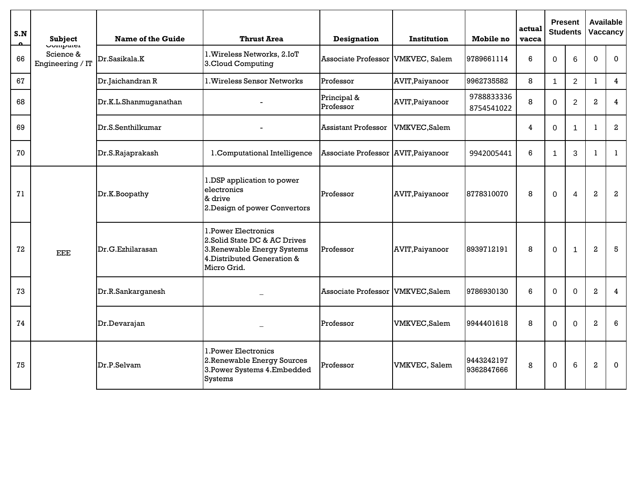| S.N | Subject                                          | <b>Name of the Guide</b> | <b>Thrust Area</b>                                                                                                                 | <b>Designation</b>         | Institution           | Mobile no                | actual<br>vacca | <b>Present</b><br><b>Students</b> |                | <b>Available</b><br>Vaccancy |                  |
|-----|--------------------------------------------------|--------------------------|------------------------------------------------------------------------------------------------------------------------------------|----------------------------|-----------------------|--------------------------|-----------------|-----------------------------------|----------------|------------------------------|------------------|
| 66  | <b>COMPUTEL</b><br>Science &<br>Engineering / IT | Dr.Sasikala.K            | 1. Wireless Networks, 2.IoT<br>3.Cloud Computing                                                                                   | Associate Professor        | <b>VMKVEC, Salem</b>  | 9789661114               | 6               | $\Omega$                          | 6              | $\Omega$                     | $\mathbf{0}$     |
| 67  |                                                  | Dr.Jaichandran R         | 1. Wireless Sensor Networks                                                                                                        | Professor                  | AVIT, Paiyanoor       | 9962735582               | 8               | $\overline{1}$                    | $\overline{2}$ |                              | $\overline{4}$   |
| 68  |                                                  | Dr.K.L.Shanmuganathan    |                                                                                                                                    | Principal &<br>Professor   | AVIT, Paiyanoor       | 9788833336<br>8754541022 | 8               | $\Omega$                          | $\overline{2}$ | 2                            | 4                |
| 69  |                                                  | Dr.S.Senthilkumar        |                                                                                                                                    | <b>Assistant Professor</b> | <b>VMKVEC,Salem</b>   |                          | 4               | $\Omega$                          | $\overline{1}$ | -1                           | $\boldsymbol{2}$ |
| 70  |                                                  | Dr.S.Rajaprakash         | 1. Computational Intelligence                                                                                                      | <b>Associate Professor</b> | AVIT, Paiyanoor       | 9942005441               | 6               |                                   | 3              | $\mathbf{1}$                 | $\mathbf{1}$     |
| 71  |                                                  | Dr.K.Boopathy            | 1.DSP application to power<br>electronics<br>& drive<br>2. Design of power Convertors                                              | Professor                  | AVIT, Paiyanoor       | 8778310070               | 8               | $\Omega$                          | $\overline{4}$ | $\overline{\mathbf{2}}$      | $\boldsymbol{2}$ |
| 72  | <b>EEE</b>                                       | Dr.G.Ezhilarasan         | 1. Power Electronics<br>2. Solid State DC & AC Drives<br>3. Renewable Energy Systems<br>4. Distributed Generation &<br>Micro Grid. | Professor                  | AVIT, Paiyanoor       | 8939712191               | 8               | $\mathbf 0$                       | $\overline{1}$ | $\overline{\mathbf{2}}$      | 5                |
| 73  |                                                  | Dr.R.Sankarganesh        |                                                                                                                                    | Associate Professor        | VMKVEC,Salem          | 9786930130               | 6               | $\Omega$                          | $\Omega$       | $\mathbf{2}$                 | $\overline{4}$   |
| 74  |                                                  | Dr.Devarajan             |                                                                                                                                    | Professor                  | <b>VMKVEC,Salem</b>   | 9944401618               | 8               | $\Omega$                          | $\mathbf 0$    | $\mathbf{2}$                 | 6                |
| 75  |                                                  | Dr.P.Selvam              | 1. Power Electronics<br>2. Renewable Energy Sources<br>3. Power Systems 4. Embedded<br><b>Systems</b>                              | Professor                  | <b>VMKVEC</b> , Salem | 9443242197<br>9362847666 | 8               | $\mathbf 0$                       | 6              | $\overline{a}$               | $\Omega$         |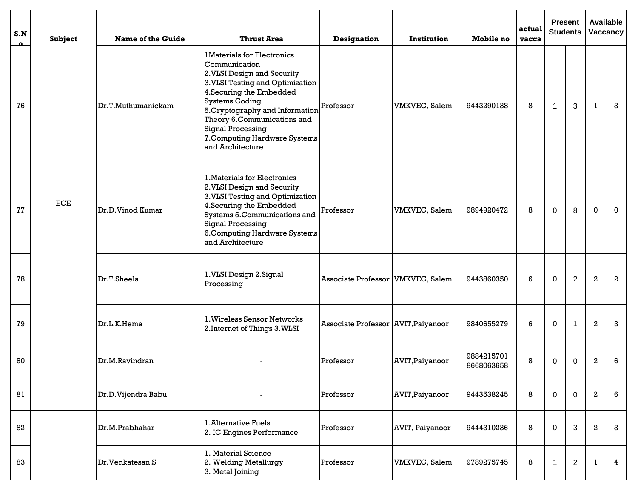| S.N | Subject                     | <b>Name of the Guide</b> | <b>Thrust Area</b>                                                                                                                                                                                                                                                                                                            | <b>Designation</b>                  | Institution           | Mobile no                | actual<br>vacca | <b>Present</b><br><b>Students</b> |                |                  | <b>Available</b><br>Vaccancy |
|-----|-----------------------------|--------------------------|-------------------------------------------------------------------------------------------------------------------------------------------------------------------------------------------------------------------------------------------------------------------------------------------------------------------------------|-------------------------------------|-----------------------|--------------------------|-----------------|-----------------------------------|----------------|------------------|------------------------------|
| 76  |                             | Dr.T.Muthumanickam       | <b>1Materials for Electronics</b><br>Communication<br>2. VLSI Design and Security<br>3. VLSI Testing and Optimization<br>4. Securing the Embedded<br><b>Systems Coding</b><br>5. Cryptography and Information<br>Theory 6.Communications and<br><b>Signal Processing</b><br>7. Computing Hardware Systems<br>and Architecture | Professor                           | <b>VMKVEC</b> , Salem | 9443290138               | 8               | $\mathbf{1}$                      | 3              | -1               | 3                            |
| 77  | $\ensuremath{\textit{ECE}}$ | Dr.D.Vinod Kumar         | 1. Materials for Electronics<br>2. VLSI Design and Security<br>3. VLSI Testing and Optimization<br>4. Securing the Embedded<br>Systems 5.Communications and<br><b>Signal Processing</b><br>6. Computing Hardware Systems<br>and Architecture                                                                                  | Professor                           | VMKVEC, Salem         | 9894920472               | 8               | 0                                 | 8              | 0                | 0                            |
| 78  |                             | Dr.T.Sheela              | 1.VLSI Design 2.Signal<br>Processing                                                                                                                                                                                                                                                                                          | Associate Professor VMKVEC, Salem   |                       | 9443860350               | 6               | 0                                 | $\overline{2}$ | $\boldsymbol{2}$ | $\boldsymbol{2}$             |
| 79  |                             | Dr.L.K.Hema              | 1. Wireless Sensor Networks<br>2. Internet of Things 3. WLSI                                                                                                                                                                                                                                                                  | Associate Professor AVIT, Paiyanoor |                       | 9840655279               | 6               | 0                                 | $\overline{1}$ | $\boldsymbol{2}$ | 3                            |
| 80  |                             | Dr.M.Ravindran           |                                                                                                                                                                                                                                                                                                                               | Professor                           | AVIT, Paiyanoor       | 9884215701<br>8668063658 | 8               | 0                                 | 0              | 2                | 6                            |
| 81  |                             | Dr.D.Vijendra Babu       | $\overline{\phantom{a}}$                                                                                                                                                                                                                                                                                                      | Professor                           | AVIT, Paiyanoor       | 9443538245               | 8               | $\Omega$                          | $\mathbf 0$    | 2                | 6                            |
| 82  |                             | Dr.M.Prabhahar           | 1. Alternative Fuels<br>2. IC Engines Performance                                                                                                                                                                                                                                                                             | Professor                           | AVIT, Paiyanoor       | 9444310236               | 8               | $\Omega$                          | 3              | $\boldsymbol{2}$ | 3                            |
| 83  |                             | Dr. Venkatesan. S        | 1. Material Science<br>2. Welding Metallurgy<br>3. Metal Joining                                                                                                                                                                                                                                                              | Professor                           | <b>VMKVEC</b> , Salem | 9789275745               | 8               |                                   | $\sqrt{2}$     |                  | $\overline{4}$               |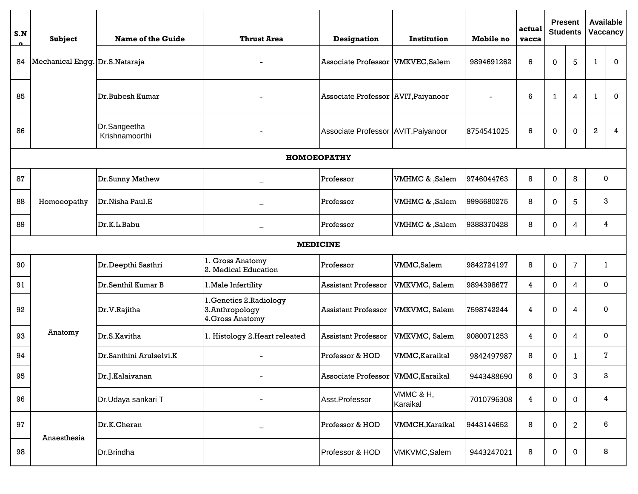| S.N             | Subject                        | <b>Name of the Guide</b>       | <b>Thrust Area</b>                                             | <b>Designation</b>                   | Institution           | Mobile no  | actual<br>vacca |             | <b>Present</b><br><b>Students</b> | <b>Available</b> | Vaccancy     |
|-----------------|--------------------------------|--------------------------------|----------------------------------------------------------------|--------------------------------------|-----------------------|------------|-----------------|-------------|-----------------------------------|------------------|--------------|
| 84              | Mechanical Engg. Dr.S.Nataraja |                                |                                                                | <b>Associate Professor</b>           | <b>VMKVEC, Salem</b>  | 9894691262 | 6               | 0           | 5                                 | -1               | $\mathbf{0}$ |
| 85              |                                | Dr.Bubesh Kumar                |                                                                | Associate Professor AVIT, Paiyanoor  |                       |            | 6               | 1           | 4                                 | -1               | $\mathbf 0$  |
| 86              |                                | Dr.Sangeetha<br>Krishnamoorthi |                                                                | Associate Professor AVIT, Paiyanoor  |                       | 8754541025 | 6               | 0           | $\mathbf 0$                       | $\,2\,$          | 4            |
|                 |                                |                                | <b>НОМОЕОРАТНҮ</b>                                             |                                      |                       |            |                 |             |                                   |                  |              |
| 87              |                                | Dr.Sunny Mathew                |                                                                | Professor                            | VMHMC & ,Salem        | 9746044763 | 8               | 0           | 8                                 | $\mathbf 0$      |              |
| 88              | Homoeopathy                    | Dr.Nisha Paul.E                |                                                                | Professor                            | VMHMC & ,Salem        | 9995680275 | 8               | 0           | 5                                 | 3                |              |
| 89              |                                | Dr.K.L.Babu                    |                                                                | Professor                            | VMHMC & ,Salem        | 9388370428 | 8               | 0           | 4                                 | 4                |              |
| <b>MEDICINE</b> |                                |                                |                                                                |                                      |                       |            |                 |             |                                   |                  |              |
| 90              |                                | Dr.Deepthi Sasthri             | 1. Gross Anatomy<br>2. Medical Education                       | Professor                            | VMMC,Salem            | 9842724197 | 8               | 0           | $\overline{7}$                    | 1                |              |
| 91              |                                | Dr.Senthil Kumar B             | 1. Male Infertility                                            | <b>Assistant Professor</b>           | VMKVMC, Salem         | 9894398677 | 4               | 0           | 4                                 | 0                |              |
| 92              |                                | Dr.V.Rajitha                   | 1. Genetics 2. Radiology<br>3.Anthropology<br>4. Gross Anatomy | <b>Assistant Professor</b>           | VMKVMC, Salem         | 7598742244 | 4               | 0           | 4                                 | 0                |              |
| 93              | Anatomy                        | Dr.S.Kavitha                   | 1. Histology 2. Heart releated                                 | <b>Assistant Professor</b>           | VMKVMC, Salem         | 9080071253 | 4               | 0           | 4                                 | 0                |              |
| 94              |                                | Dr.Santhini Arulselvi.K        |                                                                | Professor & HOD                      | VMMC, Karaikal        | 9842497987 | 8               | 0           |                                   | 7                |              |
| 95              |                                | Dr.J.Kalaivanan                | $\overline{\phantom{a}}$                                       | Associate Professor   VMMC, Karaikal |                       | 9443488690 | 6               | $\mathbf 0$ | $\sqrt{3}$                        | 3                |              |
| 96              |                                | Dr.Udaya sankari T             |                                                                | Asst.Professor                       | VMMC & H,<br>Karaikal | 7010796308 | 4               | 0           | 0                                 | 4                |              |
| 97              | Anaesthesia                    | Dr.K.Cheran                    |                                                                | Professor & HOD                      | VMMCH, Karaikal       | 9443144652 | 8               | 0           | $\overline{2}$                    | 6                |              |
| 98              |                                | Dr.Brindha                     |                                                                | Professor & HOD                      | VMKVMC,Salem          | 9443247021 | 8               | 0           | 0                                 | 8                |              |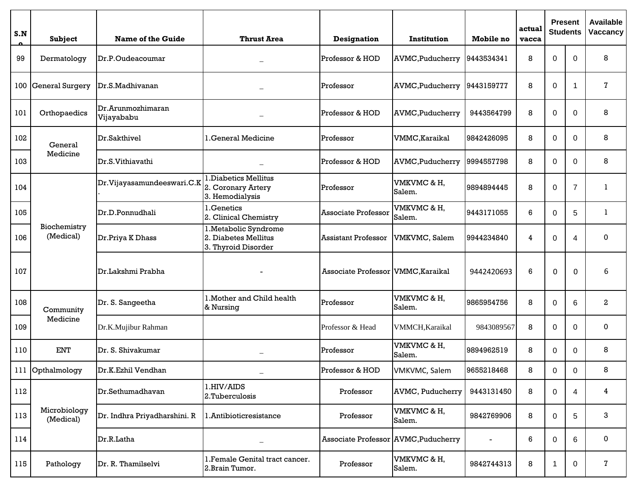| S.N | Subject                   | Name of the Guide               | <b>Thrust Area</b>                                                   | <b>Designation</b>                   | Institution             | Mobile no                | actual<br>vacca | <b>Students</b> | <b>Present</b> | <b>Available</b><br>Vaccancy |
|-----|---------------------------|---------------------------------|----------------------------------------------------------------------|--------------------------------------|-------------------------|--------------------------|-----------------|-----------------|----------------|------------------------------|
| 99  | Dermatology               | Dr.P.Oudeacoumar                |                                                                      | Professor & HOD                      | <b>AVMC, Puducherry</b> | 9443534341               | 8               | 0               | 0              | 8                            |
| 100 | General Surgery           | Dr.S.Madhivanan                 |                                                                      | Professor                            | AVMC, Puducherry        | 9443159777               | 8               | 0               | -1             | 7                            |
| 101 | Orthopaedics              | Dr.Arunmozhimaran<br>Vijayababu |                                                                      | Professor & HOD                      | <b>AVMC, Puducherry</b> | 9443564799               | 8               | 0               | $\Omega$       | 8                            |
| 102 | General                   | Dr.Sakthivel                    | 1. General Medicine                                                  | Professor                            | VMMC, Karaikal          | 9842426095               | 8               | 0               | $\Omega$       | 8                            |
| 103 | Medicine                  | Dr.S.Vithiavathi                |                                                                      | Professor & HOD                      | <b>AVMC, Puducherry</b> | 9994557798               | 8               | 0               | $\Omega$       | 8                            |
| 104 |                           | Dr.Vijayasamundeeswari.C.K      | Diabetics Mellitus<br>2. Coronary Artery<br>3. Hemodialysis          | Professor                            | VMKVMC & H,<br>Salem.   | 9894894445               | 8               | 0               | $\overline{7}$ | 1                            |
| 105 |                           | Dr.D.Ponnudhali                 | .Genetics<br>2. Clinical Chemistry                                   | Associate Professor                  | VMKVMC & H,<br>Salem.   | 9443171055               | 6               | 0               | 5              | 1                            |
| 106 | Biochemistry<br>(Medical) | Dr.Priya K Dhass                | 1. Metabolic Syndrome<br>2. Diabetes Mellitus<br>3. Thyroid Disorder | <b>Assistant Professor</b>           | VMKVMC, Salem           | 9944234840               | 4               | 0               | 4              | $\mathbf{0}$                 |
| 107 |                           | Dr.Lakshmi Prabha               |                                                                      | Associate Professor VMMC, Karaikal   |                         | 9442420693               | 6               | 0               | $\Omega$       | 6                            |
| 108 | Community                 | Dr. S. Sangeetha                | 1. Mother and Child health<br>& Nursing                              | Professor                            | VMKVMC & H,<br>Salem.   | 9865954756               | 8               | 0               | 6              | 2                            |
| 109 | Medicine                  | Dr.K.Mujibur Rahman             |                                                                      | Professor & Head                     | VMMCH, Karaikal         | 9843089567               | 8               | 0               | $\Omega$       | 0                            |
| 110 | <b>ENT</b>                | Dr. S. Shivakumar               |                                                                      | Professor                            | VMKVMC & H,<br>Salem.   | 9894962519               | 8               | 0               | $\Omega$       | 8                            |
|     | 111 Opthalmology          | Dr.K.Ezhil Vendhan              |                                                                      | Professor & HOD                      | VMKVMC, Salem           | 9655218468               | 8               | 0               | 0              | 8                            |
| 112 |                           | Dr.Sethumadhavan                | 1.HIV/AIDS<br>2.Tuberculosis                                         | Professor                            | <b>AVMC, Puducherry</b> | 9443131450               | 8               | 0               | 4              | 4                            |
| 113 | Microbiology<br>(Medical) | Dr. Indhra Priyadharshini. R    | 1.Antibioticresistance                                               | Professor                            | VMKVMC & H,<br>Salem.   | 9842769906               | 8               | 0               | 5              | 3                            |
| 114 |                           | Dr.R.Latha                      |                                                                      | Associate Professor AVMC, Puducherry |                         | $\overline{\phantom{a}}$ | 6               | 0               | 6              | 0                            |
| 115 | Pathology                 | Dr. R. Thamilselvi              | 1. Female Genital tract cancer.<br>2. Brain Tumor.                   | Professor                            | VMKVMC & H,<br>Salem.   | 9842744313               | 8               | -1              | 0              | 7                            |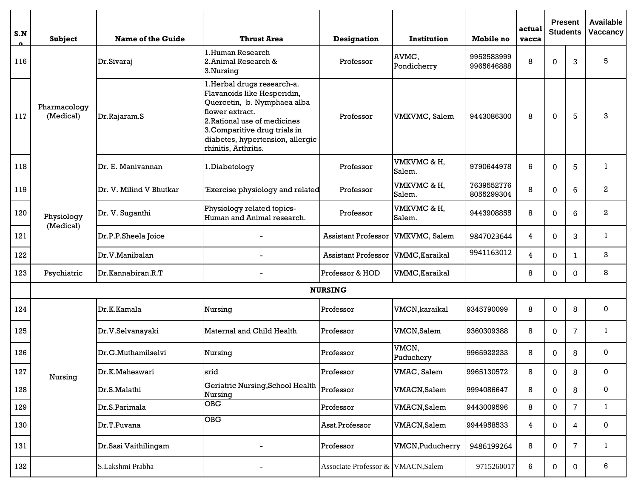| S.N     | Subject                   | Name of the Guide       | <b>Thrust Area</b>                                                                                                                                                                                                                       | <b>Designation</b>                 | Institution             | <b>Mobile</b> no         | actual<br>vacca |              | <b>Present</b><br><b>Students</b> | <b>Available</b><br>Vaccancy |
|---------|---------------------------|-------------------------|------------------------------------------------------------------------------------------------------------------------------------------------------------------------------------------------------------------------------------------|------------------------------------|-------------------------|--------------------------|-----------------|--------------|-----------------------------------|------------------------------|
| 116     |                           | Dr.Sivaraj              | l.Human Research<br>2. Animal Research &<br>3.Nursing                                                                                                                                                                                    | Professor                          | AVMC,<br>Pondicherry    | 9952583999<br>9965646888 | 8               | $\Omega$     | 3                                 | 5                            |
| 117     | Pharmacology<br>(Medical) | Dr.Rajaram.S            | l.Herbal drugs research-a.<br>Flavanoids like Hesperidin,<br>Quercetin, b. Nymphaea alba<br>flower extract.<br>2. Rational use of medicines<br>3. Comparitive drug trials in<br>diabetes, hypertension, allergic<br>rhinitis, Arthritis. | Professor                          | VMKVMC, Salem           | 9443086300               | 8               | 0            | 5                                 | 3                            |
| 118     |                           | Dr. E. Manivannan       | 1.Diabetology                                                                                                                                                                                                                            | Professor                          | VMKVMC & H,<br>Salem.   | 9790644978               | 6               | $\Omega$     | 5                                 | 1                            |
| 119     |                           | Dr. V. Milind V Bhutkar | 'Exercise physiology and related                                                                                                                                                                                                         | Professor                          | VMKVMC & H,<br>Salem.   | 7639552776<br>8055299304 | 8               | $\Omega$     | 6                                 | $\mathbf{2}$                 |
| 120     | Physiology<br>(Medical)   | Dr. V. Suganthi         | Physiology related topics-<br>Human and Animal research.                                                                                                                                                                                 | Professor                          | VMKVMC & H,<br>Salem.   | 9443908855               | 8               | $\Omega$     | 6                                 | $\mathbf{2}$                 |
| 121     |                           | Dr.P.P.Sheela Joice     |                                                                                                                                                                                                                                          | <b>Assistant Professor</b>         | VMKVMC, Salem           | 9847023644               | 4               | 0            | 3                                 | 1                            |
| 122     |                           | Dr.V.Manibalan          |                                                                                                                                                                                                                                          | <b>Assistant Professor</b>         | VMMC, Karaikal          | 9941163012               | 4               | $\Omega$     | -1                                | 3                            |
| 123     | Psychiatric               | Dr.Kannabiran.R.T       |                                                                                                                                                                                                                                          | Professor & HOD                    | VMMC, Karaikal          |                          | 8               | 0            | $\Omega$                          | 8                            |
|         |                           |                         |                                                                                                                                                                                                                                          | <b>NURSING</b>                     |                         |                          |                 |              |                                   |                              |
| 124     |                           | Dr.K.Kamala             | Nursing                                                                                                                                                                                                                                  | Professor                          | VMCN, karaikal          | 9345790099               | 8               | $\Omega$     | 8                                 | 0                            |
| 125     |                           | Dr.V.Selvanayaki        | Maternal and Child Health                                                                                                                                                                                                                | Professor                          | VMCN,Salem              | 9360309388               | 8               | $\Omega$     | $\overline{7}$                    | 1                            |
| 126     |                           | Dr.G.Muthamilselvi      | Nursing                                                                                                                                                                                                                                  | Professor                          | VMCN,<br>Puduchery      | 9965922233               | 8               | $\Omega$     | 8                                 | 0                            |
| $127\,$ | Nursing                   | Dr.K.Maheswari          | srid                                                                                                                                                                                                                                     | Professor                          | VMAC, Salem             | 9965130572               | 8               | 0            | Ω                                 | $\Omega$                     |
| 128     |                           | Dr.S.Malathi            | Geriatric Nursing, School Health<br>Nursing                                                                                                                                                                                              | Professor                          | <b>VMACN,Salem</b>      | 9994086647               | 8               | 0            | 8                                 | 0                            |
| 129     |                           | Dr.S.Parimala           | <b>OBG</b>                                                                                                                                                                                                                               | Professor                          | VMACN, Salem            | 9443009596               | 8               | 0            | $\overline{7}$                    | $\mathbf{1}$                 |
| 130     |                           | Dr.T.Puvana             | O <sub>B</sub>                                                                                                                                                                                                                           | Asst.Professor                     | <b>VMACN,Salem</b>      | 9944958533               | 4               | $\mathbf{0}$ | 4                                 | 0                            |
| 131     |                           | Dr.Sasi Vaithilingam    | $\overline{a}$                                                                                                                                                                                                                           | Professor                          | <b>VMCN, Puducherry</b> | 9486199264               | 8               | $\mathbf{0}$ | $\overline{7}$                    | 1                            |
| 132     |                           | S.Lakshmi Prabha        |                                                                                                                                                                                                                                          | Associate Professor & VMACN, Salem |                         | 9715260017               | 6               | $\mathbf{0}$ | 0                                 | 6                            |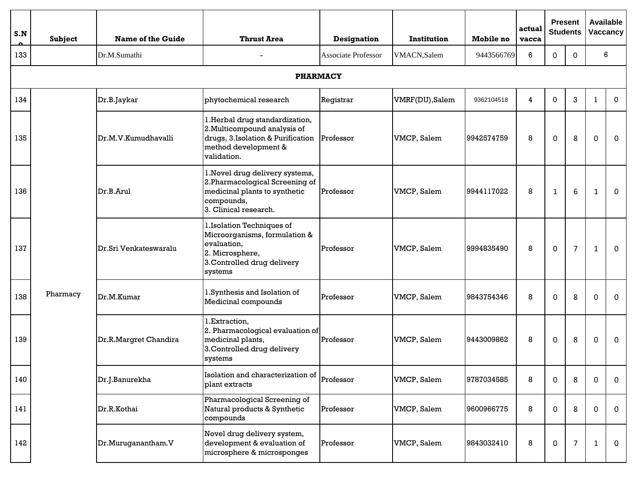| S.N | <b>Subject</b> | Name of the Guide     | <b>Thrust Area</b>                                                                                                                                     | <b>Designation</b>         | <b>Institution</b> | Mobile no  | actual<br>vacca |                  | <b>Present</b><br><b>Students</b> |              | <b>Available</b><br>Vaccancy |
|-----|----------------|-----------------------|--------------------------------------------------------------------------------------------------------------------------------------------------------|----------------------------|--------------------|------------|-----------------|------------------|-----------------------------------|--------------|------------------------------|
| 133 |                | Dr.M.Sumathi          |                                                                                                                                                        | <b>Associate Professor</b> | VMACN,Salem        | 9443566769 | 6               | 0                | $\Omega$                          |              | 6                            |
|     |                |                       | <b>PHARMACY</b>                                                                                                                                        |                            |                    |            |                 |                  |                                   |              |                              |
| 134 |                | Dr.B.Jaykar           | phytochemical research                                                                                                                                 | Registrar                  | VMRF(DU), Salem    | 9362104518 | 4               | $\mathbf 0$      | 3                                 | 1            | $\mathbf 0$                  |
| 135 |                | Dr.M.V.Kumudhavalli   | 1. Herbal drug standardization,<br>2. Multicompound analysis of<br>drugs, 3. Isolation & Purification Professor<br>method development &<br>validation. |                            | VMCP, Salem        | 9942574759 | 8               | $\mathbf 0$      | 8                                 | $\Omega$     | $\mathbf 0$                  |
| 136 |                | Dr.B.Arul             | 1. Novel drug delivery systems,<br>2. Pharmacological Screening of<br>medicinal plants to synthetic<br>compounds,<br>3. Clinical research.             | Professor                  | VMCP, Salem        | 9944117022 | 8               | $\mathbf{1}$     | 6                                 | $\mathbf{1}$ | $\Omega$                     |
| 137 |                | Dr.Sri Venkateswaralu | 1. Isolation Techniques of<br>Microorganisms, formulation &<br>evaluation,<br>2. Microsphere,<br>3. Controlled drug delivery<br>systems                | Professor                  | VMCP, Salem        | 9994835490 | 8               | 0                | $\overline{7}$                    | $\mathbf{1}$ | $\mathbf 0$                  |
| 138 | Pharmacy       | Dr.M.Kumar            | l.Synthesis and Isolation of<br>Medicinal compounds                                                                                                    | Professor                  | VMCP, Salem        | 9843754346 | 8               | 0                | 8                                 | 0            | $\mathbf 0$                  |
| 139 |                | Dr.R.Margret Chandira | 1.Extraction,<br>2. Pharmacological evaluation of<br>medicinal plants,<br>3. Controlled drug delivery<br>systems                                       | Professor                  | VMCP, Salem        | 9443009862 | 8               | $\mathbf 0$      | 8                                 | $\mathbf 0$  | $\mathbf{0}$                 |
| 140 |                | Dr.J.Banurekha        | Isolation and characterization of $\vert_{\rm Professor}$<br>plant extracts                                                                            |                            | VMCP, Salem        | 9787034585 | 8               | 0                | 8                                 | 0            | $\mathbf 0$                  |
| 141 |                | Dr.R.Kothai           | Pharmacological Screening of<br>Natural products & Synthetic<br>compounds                                                                              | Professor                  | VMCP, Salem        | 9600966775 | 8               | 0                | 8                                 | 0            | 0                            |
| 142 |                | Dr.Muruganantham.V    | Novel drug delivery system,<br>development & evaluation of<br>microsphere & microsponges                                                               | Professor                  | VMCP, Salem        | 9843032410 | 8               | $\boldsymbol{0}$ | 7                                 | $\mathbf{1}$ | $\mathbf 0$                  |